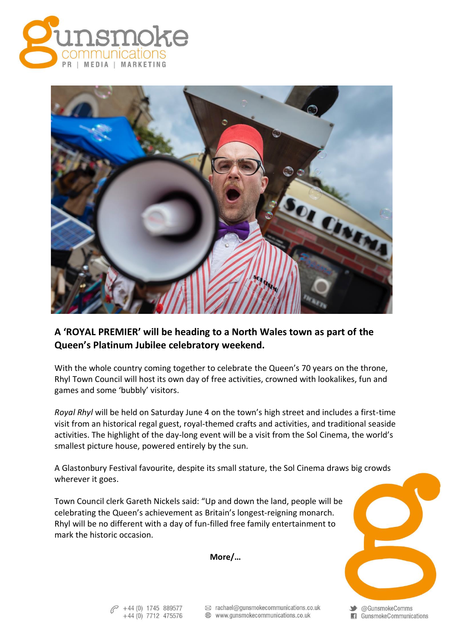



## **A 'ROYAL PREMIER' will be heading to a North Wales town as part of the Queen's Platinum Jubilee celebratory weekend.**

With the whole country coming together to celebrate the Queen's 70 years on the throne, Rhyl Town Council will host its own day of free activities, crowned with lookalikes, fun and games and some 'bubbly' visitors.

*Royal Rhyl* will be held on Saturday June 4 on the town's high street and includes a first-time visit from an historical regal guest, royal-themed crafts and activities, and traditional seaside activities. The highlight of the day-long event will be a visit from the Sol Cinema, the world's smallest picture house, powered entirely by the sun.

A Glastonbury Festival favourite, despite its small stature, the Sol Cinema draws big crowds wherever it goes.

Town Council clerk Gareth Nickels said: "Up and down the land, people will be celebrating the Queen's achievement as Britain's longest-reigning monarch. Rhyl will be no different with a day of fun-filled free family entertainment to mark the historic occasion.

**More/…**

 $6^{\circ}$  +44 (0) 1745 889577  $+44(0)$  7712 475576  $\otimes$  rachael@gunsmokecommunications.co.uk 

Standard Comms GunsmokeCommunications